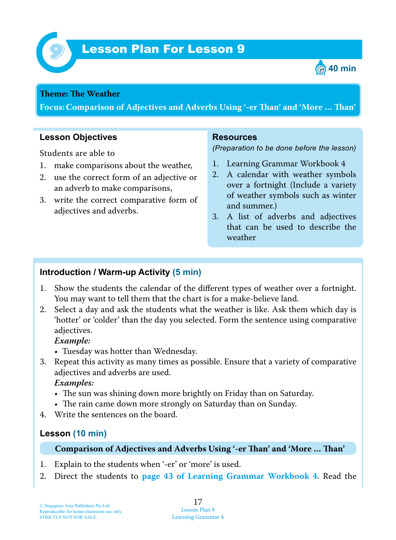



#### **Theme: The Weather**

**Focus: Comparison of Adjectives and Adverbs Using '-er Tan' and 'More … Tan'**

#### **Lesson Objectives**

Students are able to

- 1. make comparisons about the weather,
- 2. use the correct form of an adjective or an adverb to make comparisons,
- 3. write the correct comparative form of adjectives and adverbs.

#### **Resources**

*(Preparation to be done before the lesson)*

- 1. Learning Grammar Workbook 4
- 2. A calendar with weather symbols over a fortnight (Include a variety of weather symbols such as winter and summer.)
- 3. A list of adverbs and adjectives that can be used to describe the weather

### **Introduction / Warm-up Activity (5 min)**

- 1. Show the students the calendar of the different types of weather over a fortnight. You may want to tell them that the chart is for a make-believe land.
- 2. Select a day and ask the students what the weather is like. Ask them which day is 'hotter' or 'colder' than the day you selected. Form the sentence using comparative adjectives.

 *Example:*

- Tuesday was hotter than Wednesday.
- 3. Repeat this activity as many times as possible. Ensure that a variety of comparative adjectives and adverbs are used.

*Examples:*

- The sun was shining down more brightly on Friday than on Saturday.
- The rain came down more strongly on Saturday than on Sunday.
- 4. Write the sentences on the board.

### **Lesson (10 min)**

**Comparison of Adjectives and Adverbs Using '-er Tan' and 'More … Tan'**

- 1. Explain to the students when '-er' or 'more' is used.
- 2. Direct the students to **page 43 of Learning Grammar Workbook 4**. Read the